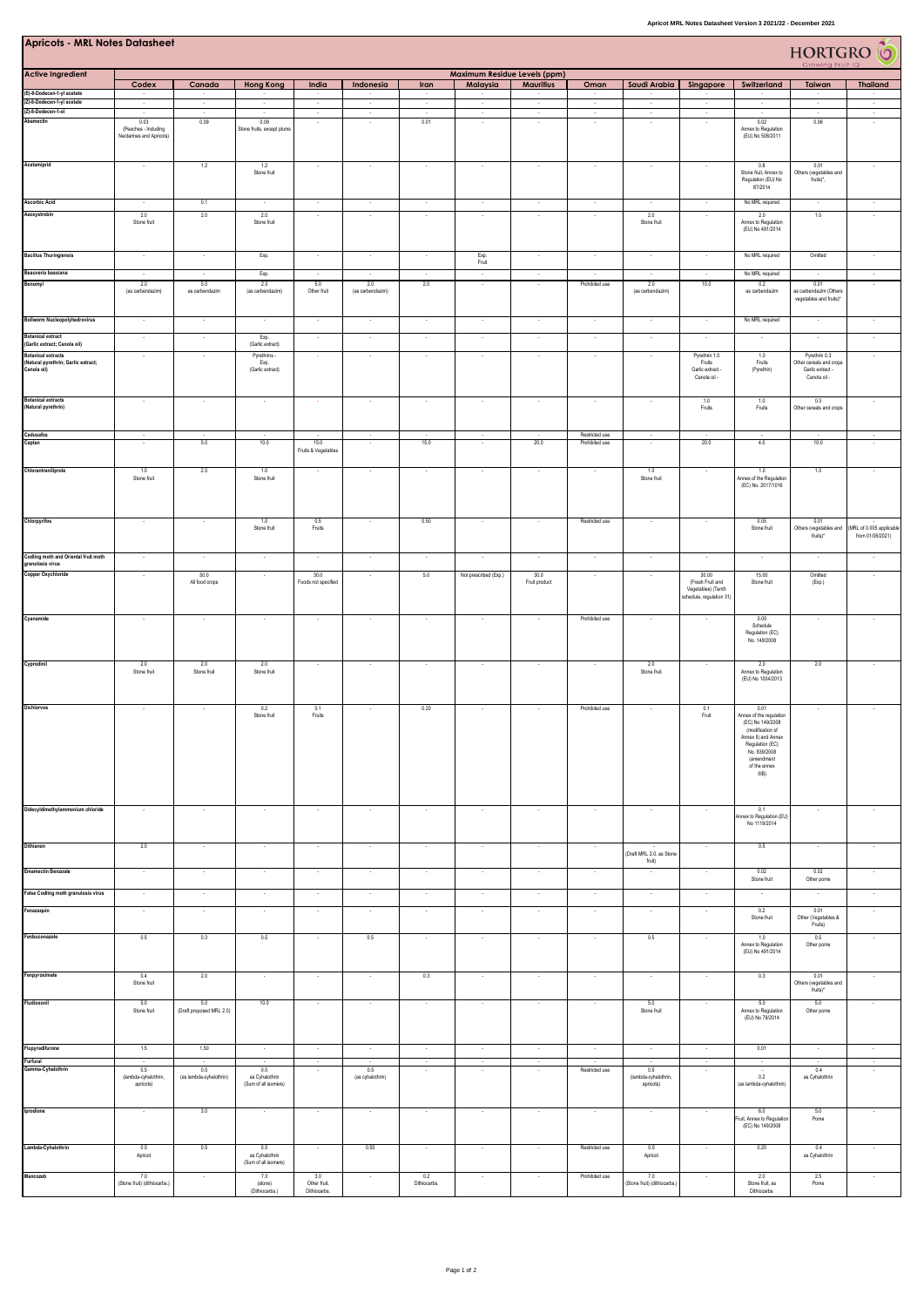| <b>Apricots - MRL Notes Datasheet</b><br>HORTGRO <sup>6</sup>                   |                                                          |                                    |                                               |                              |                          |                          |                              |                          |                          |                              |                                                                    |                                                                                                                                                                          |                                                                              |                                              |
|---------------------------------------------------------------------------------|----------------------------------------------------------|------------------------------------|-----------------------------------------------|------------------------------|--------------------------|--------------------------|------------------------------|--------------------------|--------------------------|------------------------------|--------------------------------------------------------------------|--------------------------------------------------------------------------------------------------------------------------------------------------------------------------|------------------------------------------------------------------------------|----------------------------------------------|
| <b>Active Ingredient</b>                                                        |                                                          |                                    |                                               |                              |                          |                          | Maximum Residue Levels (ppm) |                          |                          |                              |                                                                    |                                                                                                                                                                          |                                                                              |                                              |
|                                                                                 | Codex                                                    | Canada                             | <b>Hong Kong</b>                              | India                        | Indonesia                | Iran                     | Malaysia                     | <b>Mauritius</b>         | Oman                     | Saudi Arabia                 | Singapore                                                          | Switzerland                                                                                                                                                              | Taiwan                                                                       | <b>Thailand</b>                              |
| (E)-8-Dodecen-1-yl acetate<br>(Z)-8-Dodecen-1-yl acetate                        | л.<br>$\sim$                                             | ٠<br>$\sim$                        | $\sim$                                        | х.<br>$\sim$                 | $\sim$                   | ÷<br>$\mathcal{A}$       | л.<br>$\epsilon$             | $\sim$                   | т.<br>$\sim$             | $\sim$                       | $\sim$                                                             | ٠.                                                                                                                                                                       | л.<br>$\sim$                                                                 | $\gamma$                                     |
| (Z)-8-Dodecen-1-ol<br>Abamectin                                                 | $\sim$                                                   | $\sim$                             | $\sim$                                        | $\sim$                       | $\sim$                   | $\sim$                   | $\sim$                       | $\sim$                   | $\sim$                   | $\sim$                       | $\sim$                                                             | $\sim$                                                                                                                                                                   | $\sim$                                                                       | $\sim$                                       |
|                                                                                 | 0.03<br>(Peaches - Including<br>Nectarines and Apricots) | 0.09                               | 0.09<br>Stone fruits, except plums            | $\sim$                       | $\sim$                   | 0.01                     | $\sim$                       | $\sim$                   | $\overline{\phantom{a}}$ | $\sim$                       | $\sim$                                                             | 0.02<br>Annex to Regulation<br>(EU) No 508/2011                                                                                                                          | 0.06                                                                         | $\cdot$                                      |
| Acetamiprid                                                                     | $\cdot$                                                  | 1.2                                | 1.2<br>Stone fruit                            | $\sim$                       |                          | $\cdot$                  | $\epsilon$                   | $\overline{\phantom{a}}$ | ٠.                       | $\sim$                       | $\overline{\phantom{a}}$                                           | 0.8<br>Stone fruit, Annex to<br>Regulation (EU) No<br>87/2014                                                                                                            | 0.01<br>Others (vegetables and<br>fruits)*,                                  |                                              |
| <b>Ascorbic Acid</b>                                                            | $\sim$                                                   | 0.1                                | $\sim$                                        | Ŧ                            | $\sim$                   | $\cdot$                  | Ŧ                            | $\cdot$                  | $\cdot$                  |                              | $\cdot$                                                            | No MRL required                                                                                                                                                          | $\sim$                                                                       | $\cdot$                                      |
| Azoxystrobin                                                                    | 2.0<br>Stone fruit                                       | 2.0                                | 2.0<br>Stone fruit                            | $\cdot$                      | $\overline{\phantom{a}}$ | $\sim$                   | $\cdot$                      | $\overline{\phantom{a}}$ |                          | 2.0<br>Stone fruit           | $\sim$                                                             | 2.0<br>Annex to Regulation<br>(EU) No 491/2014                                                                                                                           | 1.0                                                                          |                                              |
| <b>Bacillus Thuringiensis</b><br>Beauveria bassiana                             | $\sim$                                                   | $\overline{\phantom{a}}$<br>$\sim$ | Exp.                                          | $\sim$                       | $\sim$                   | $\sim$<br>$\sim$         | Exp.<br>Fruit<br>$\sim$      | $\sim$                   | $\sim$                   | $\sim$                       | $\sim$                                                             | No MRL required<br>No MRL required                                                                                                                                       | Omitted                                                                      |                                              |
| Benomyl                                                                         | $\sim$<br>2.0                                            | 5.0                                | Exp.<br>2.0                                   | $\sim$<br>5.0                | $\sim$<br>2.0            | 2.0                      |                              | $\sim$                   | $\sim$<br>Prohibited use | $\sim$<br>2.0                | $\sim$<br>10.0                                                     | 0.2                                                                                                                                                                      | $\sim$<br>0.01                                                               | $\sim$                                       |
|                                                                                 | (as carbendazim)                                         | as carbendazim                     | (as carbendazim)                              | Other fruit                  | (as carbendazim)         |                          |                              |                          |                          | (as carbendazim)             |                                                                    | as carbendazim                                                                                                                                                           | as carbendazim (Others<br>vegetables and fruits)*                            |                                              |
| <b>Bollworm Nucleopolyhedrovirus</b>                                            | $\sim$                                                   | $\sim$                             |                                               | $\sim$                       | $\sim$                   | $\sim$                   | $\sim$                       | $\sim$                   | $\sim$                   | $\sim$                       | $\sim$                                                             | No MRL required                                                                                                                                                          |                                                                              |                                              |
| <b>Botanical extract</b>                                                        | $\sim$                                                   | $\overline{\phantom{a}}$           | Exp.                                          | $\overline{\phantom{a}}$     | $\sim$                   | $\sim$                   | $\sim$                       | ÷.                       |                          | $\sim$                       | $\overline{\phantom{a}}$                                           |                                                                                                                                                                          |                                                                              |                                              |
| (Garlic extract; Canola oil)                                                    | $\sim$                                                   |                                    | (Garlic extract)                              |                              | $\sim$                   | $\sim$                   | $\sim$                       | ÷.                       | $\overline{\phantom{a}}$ | $\sim$                       |                                                                    | 1.0                                                                                                                                                                      |                                                                              |                                              |
| <b>Botanical extracts</b><br>(Natural pyrethrin; Garlic extract;<br>Canola oil) |                                                          | $\sim$                             | Pyrethrins -<br>Exp.<br>(Garlic extract)      |                              |                          |                          |                              |                          |                          |                              | Pyrethrin 1.0<br>Fruits<br>Garlic extract -<br>Canola oil -        | Fruits<br>(Pyrethin)                                                                                                                                                     | Pyrethrin 0.3<br>Other cereals and crops<br>Garlic extract -<br>Canola oil - |                                              |
| <b>Botanical extracts</b><br>(Natural pyrethrin)                                |                                                          |                                    |                                               |                              |                          |                          |                              |                          |                          |                              | 1.0<br>Fruits                                                      | 1.0<br>Fruits                                                                                                                                                            | 0.3<br>Other cereals and crops                                               |                                              |
| Cadusafos                                                                       | $\sim$                                                   | $\overline{\phantom{a}}$           |                                               | $\sim$                       | $\sim$                   | $\sim$                   | $\sim$                       |                          | Restricted use           | $\sim$                       | $\sim$                                                             |                                                                                                                                                                          |                                                                              |                                              |
| Captan                                                                          |                                                          | 5.0                                | 10.0                                          | 15.0<br>Fruits & Vegetables  |                          | 15.0                     | $\overline{\phantom{a}}$     | 20.0                     | Prohibited use           |                              | 20.0                                                               | 4.0                                                                                                                                                                      | 10.0                                                                         |                                              |
| Chlorantraniliprole                                                             | 1.0<br>Stone fruit                                       | 2.5                                | 1.0<br>Stone fruit                            |                              |                          |                          |                              |                          |                          | 1.0<br>Stone fruit           | $\cdot$                                                            | 1.0<br>Annex of the Regulation<br>(EC) No. 2017/1016                                                                                                                     | 1.0                                                                          |                                              |
| Chlorpyrifos                                                                    |                                                          |                                    | $1.0\,$<br>Stone fruit                        | $0.5\,$<br>Fruits            |                          | 0.50                     | $\overline{\phantom{a}}$     |                          | Restricted use           |                              |                                                                    | 0.05<br>Stone fruit                                                                                                                                                      | 0.01<br>Others (vegetables and<br>fruits)*                                   | (MRL of 0.005 applicable<br>from 01/06/2021) |
| Codling moth and Oriental fruit moth                                            | $\sim$                                                   | ÷,                                 | $\sim$                                        | ×                            |                          | $\cdot$                  | $\epsilon$                   | $\epsilon$               | $\sim$                   | $\sim$                       | $\lambda$                                                          | $\sim$                                                                                                                                                                   | $\lambda$                                                                    | $\cdot$                                      |
| granolosis virus<br>Copper Oxychloride                                          | $\overline{\phantom{a}}$                                 | 50.0                               |                                               | 30.0                         |                          | 5.0                      | Not prescribed (Exp.)        | 30.0                     |                          |                              | 30.00                                                              | 15.00                                                                                                                                                                    | Omitted                                                                      |                                              |
|                                                                                 |                                                          | All food crops                     |                                               | Foods not specified          |                          |                          |                              | Fruit product            |                          |                              | (Fresh Fruit and<br>Vegetables) (Tenth<br>schedule, regulation 31) | Stone fruit                                                                                                                                                              | (Exp.)                                                                       |                                              |
| Cyanamide                                                                       | $\sim$                                                   | $\overline{\phantom{a}}$           |                                               | $\overline{\phantom{a}}$     |                          | ×                        | ×                            |                          | Prohibited use           |                              | $\overline{\phantom{a}}$                                           | 0.05<br>Schedule<br>Regulation (EC)<br>No. 149/2008                                                                                                                      | - 20                                                                         |                                              |
| Cyprodinil                                                                      | 2.0<br>Stone fruit                                       | 2.0<br>Stone fruit                 | 2.0<br>Stone fruit                            |                              |                          |                          |                              |                          |                          | 2.0<br>Stone fruit           |                                                                    | 2.0<br>Annex to Regulation<br>(EU) No 1004/2013                                                                                                                          | 2.0                                                                          |                                              |
| Dichlorvos                                                                      | $\sim$                                                   | $\cdot$                            | 0.2<br>Stone fruit                            | 0.1<br>Fruits                |                          | 0.20                     | $\overline{\phantom{a}}$     | $\overline{\phantom{a}}$ | Prohibited use           |                              | 0.1<br>Fruit                                                       | 0.01<br>Annex of the regulation<br>(EC) No 149/2008<br>(modification of<br>Annex II) and Annex<br>Regulation (EC)<br>No. 839/2008<br>(amendment<br>of the annex<br>IIIB) |                                                                              |                                              |
| Didecyldimethylammonium chloride                                                | $\sim$                                                   | $\cdot$                            | $\sim$                                        | $\sim$                       | $\sim$                   | $\sim$                   | $\cdot$                      | $\cdot$                  | $\overline{\phantom{a}}$ |                              | $\sim$                                                             | 0.1<br>Annex to Regulation (EU)                                                                                                                                          | $\sim$                                                                       |                                              |
| Dithianon                                                                       |                                                          |                                    |                                               |                              |                          |                          |                              |                          |                          |                              |                                                                    | No 1119/2014                                                                                                                                                             |                                                                              |                                              |
|                                                                                 | 2.0                                                      | $\sim$                             | $\sim$                                        | $\sim$                       | $\sim$                   | $\sim$                   | $\sim$                       | $\sim$                   | $\overline{\phantom{a}}$ | (Draft MRL 2.0, as Stone     | $\sim$                                                             | 0.5                                                                                                                                                                      | $\sim$                                                                       |                                              |
| <b>Emamectin Benzoate</b>                                                       | $\sim$                                                   | $\sim$                             | $\sim$                                        | $\sim$                       | $\sim$                   | $\sim$                   | $\sim$                       | $\sim$                   | $\sim$                   | fruit)<br>$\sim$             | $\cdot$                                                            | 0.02                                                                                                                                                                     | 0.02                                                                         | $\cdot$                                      |
|                                                                                 |                                                          |                                    |                                               |                              |                          |                          |                              |                          |                          |                              |                                                                    | Stone fruit                                                                                                                                                              | Other pome                                                                   |                                              |
| False Codling moth granulosis virus                                             | $\sim$                                                   | $\sim$                             | - 20                                          | $\sim$                       | $\sim$                   | $\sim$                   | $\sim$                       | $\sim$                   | $\sim$                   | $\sim$                       | $\sim$                                                             |                                                                                                                                                                          |                                                                              |                                              |
| Fenazaquin                                                                      | Ŧ                                                        | Ŧ                                  | $\cdot$                                       | $\overline{\phantom{a}}$     | $\cdot$                  | $\overline{\phantom{a}}$ | $\sim$                       | $\sim$                   | $\sim$                   | $\sim$                       | $\cdot$                                                            | 0.2<br>Stone fruit                                                                                                                                                       | 0.01<br>Other (Vegetables &<br>Fruits)                                       | $\cdot$                                      |
| Fenbuconazole                                                                   | 0.5                                                      | 0.3                                | 0.5                                           | $\sim$                       | 0.5                      | $\sim$                   | $\sim$                       | $\sim$                   |                          | 0.5                          | $\sim$                                                             | 1.0<br>Annex to Regulation<br>(EU) No 491/2014                                                                                                                           | 0.5<br>Other pome                                                            |                                              |
| Fenpyroximate                                                                   | 0.4<br>Stone fruit                                       | 2.0                                | $\cdot$                                       | $\sim$                       | $\sim$                   | 0.3                      | $\sim$                       | $\sim$                   | $\sim$                   | $\sim$                       | $\cdot$                                                            | 0.3                                                                                                                                                                      | 0.01<br>Others (vegetables and                                               | $\cdot$                                      |
|                                                                                 |                                                          |                                    |                                               |                              |                          |                          |                              |                          |                          |                              |                                                                    |                                                                                                                                                                          | fruits)*                                                                     |                                              |
| Fludioxonil                                                                     | 5.0<br>Stone fruit                                       | 5.0<br>(Draft proposed MRL 2.0)    | 10.0                                          | $\cdot$                      |                          | $\cdot$                  | $\cdot$                      | $\cdot$                  |                          | 5.0<br>Stone fruit           | $\cdot$                                                            | 5.0<br>Annex to Regulation<br>(EU) No 79/2014                                                                                                                            | 5.0<br>Other pome                                                            |                                              |
| Flupyradifurone                                                                 | 1.5                                                      | 1.50                               | $\sim$                                        | $\sim$                       | $\sim$                   | $\sim$                   | $\sim$                       | $\sim$                   | $\sim$                   | $\sim$                       | $\sim$                                                             | 0.01                                                                                                                                                                     | $\sim$                                                                       | $\sim$                                       |
| Furfural<br>Gamma-Cyhalothrin                                                   | 0.5<br>(lambda-cyhalothrin,                              | 0.5<br>(as lambda-cyhalothrin)     | 0.5<br>as Cyhalothrin                         | ٠                            | 0.5<br>(as cyhalothrin)  | $\sim$                   | ×                            | ÷.                       | Restricted use           | 0.5<br>(lambda-cyhalothrin,  | $\overline{\phantom{a}}$                                           | 0.2                                                                                                                                                                      | 0.4<br>as Cyhalothrin                                                        |                                              |
| Iprodione                                                                       | apricots)<br>$\sim$                                      | 3.0                                | (Sum of all isomers)<br>$\sim$                | $\overline{\phantom{a}}$     | $\sim$                   | $\sim$                   | $\overline{\phantom{a}}$     | $\overline{\phantom{a}}$ | $\overline{\phantom{a}}$ | apricots)<br>$\sim$          | $\sim$                                                             | (as lambda-cyhalothrin)<br>6.0                                                                                                                                           | 5.0                                                                          |                                              |
|                                                                                 |                                                          |                                    |                                               |                              |                          |                          |                              |                          |                          |                              |                                                                    | Fruit, Annex to Regulation<br>(EC) No 149/2008                                                                                                                           | Pome                                                                         |                                              |
| Lambda-Cyhalothrin                                                              | 0.5<br>Apricot                                           | 0.5                                | 0.5<br>as Cyhalothrin<br>(Sum of all isomers) | $\cdot$                      | 0.50                     | $\cdot$                  | $\overline{\phantom{a}}$     | ÷,                       | Restricted use           | 0.5<br>Apricot               |                                                                    | 0.20                                                                                                                                                                     | 0.4<br>as Cyhalothrin                                                        |                                              |
| Mancozeb                                                                        | 7.0                                                      | $\cdot$                            | 7.0                                           | 3.0                          | $\sim$                   | 0.2                      | $\cdot$                      | $\cdot$                  | Prohibited use           | 7.0                          | $\cdot$                                                            | 2.0                                                                                                                                                                      | 2.5                                                                          | $\sim$                                       |
|                                                                                 | (Stone fruit) (diffiiocarbs.)                            |                                    | (stone)<br>(Dithiocarbs.)                     | Other fruit,<br>Dithiocarbs. |                          | Dithiocarbs.             |                              |                          |                          | (Stone fruit) (dithiocarbs.) |                                                                    | Stone fruit, as<br>Dithiocarbs.                                                                                                                                          | Pome                                                                         |                                              |